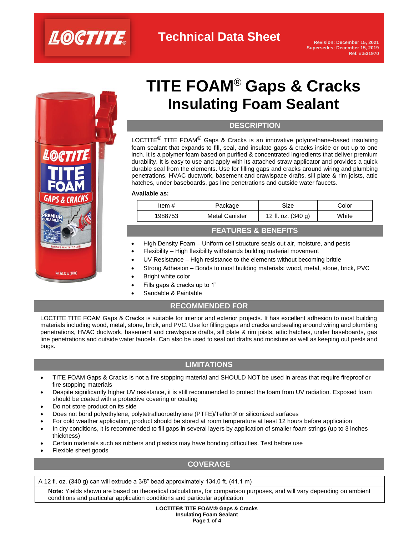

**Technical Data Sheet**



# **TITE FOAM**® **Gaps & Cracks Insulating Foam Sealant**

### **DESCRIPTION**

LOCTITE<sup>®</sup> TITE FOAM<sup>®</sup> Gaps & Cracks is an innovative polyurethane-based insulating foam sealant that expands to fill, seal, and insulate gaps & cracks inside or out up to one inch. It is a polymer foam based on purified & concentrated ingredients that deliver premium durability. It is easy to use and apply with its attached straw applicator and provides a quick durable seal from the elements. Use for filling gaps and cracks around wiring and plumbing penetrations, HVAC ductwork, basement and crawlspace drafts, sill plate & rim joists, attic hatches, under baseboards, gas line penetrations and outside water faucets.

#### **Available as:**

| Item #  | Package               | Size               | Color |
|---------|-----------------------|--------------------|-------|
| 1988753 | <b>Metal Canister</b> | 12 fl. oz. (340 g) | White |
|         |                       |                    |       |

### **FEATURES & BENEFITS**

- High Density Foam Uniform cell structure seals out air, moisture, and pests
- Flexibility High flexibility withstands building material movement
- UV Resistance High resistance to the elements without becoming brittle
- Strong Adhesion Bonds to most building materials; wood, metal, stone, brick, PVC
- **Bright white color**
- Fills gaps & cracks up to 1"
- Sandable & Paintable

### **RECOMMENDED FOR**

LOCTITE TITE FOAM Gaps & Cracks is suitable for interior and exterior projects. It has excellent adhesion to most building materials including wood, metal, stone, brick, and PVC. Use for filling gaps and cracks and sealing around wiring and plumbing penetrations, HVAC ductwork, basement and crawlspace drafts, sill plate & rim joists, attic hatches, under baseboards, gas line penetrations and outside water faucets. Can also be used to seal out drafts and moisture as well as keeping out pests and bugs.

# **LIMITATIONS**

- TITE FOAM Gaps & Cracks is not a fire stopping material and SHOULD NOT be used in areas that require fireproof or fire stopping materials
- Despite significantly higher UV resistance, it is still recommended to protect the foam from UV radiation. Exposed foam should be coated with a protective covering or coating
- Do not store product on its side
- Does not bond polyethylene, polytetrafluoroethylene (PTFE)/Teflon® or siliconized surfaces
- For cold weather application, product should be stored at room temperature at least 12 hours before application
- In dry conditions, it is recommended to fill gaps in several layers by application of smaller foam strings (up to 3 inches thickness)
- Certain materials such as rubbers and plastics may have bonding difficulties. Test before use
- Flexible sheet goods

# **COVERAGE**

A 12 fl. oz. (340 g) can will extrude a 3/8" bead approximately 134.0 ft. (41.1 m)

**Note:** Yields shown are based on theoretical calculations, for comparison purposes, and will vary depending on ambient conditions and particular application conditions and particular application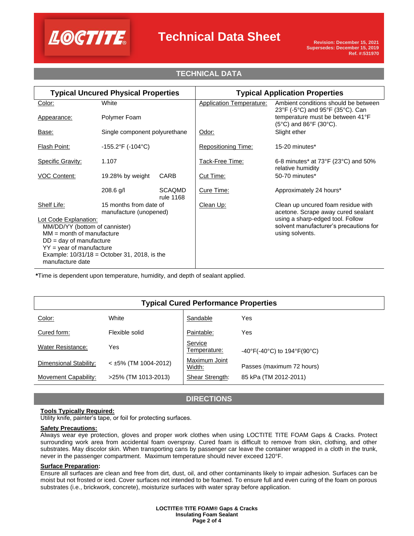

# **Technical Data Sheet**

# **TECHNICAL DATA**

| <b>Typical Uncured Physical Properties</b>                         |                                                  | <b>Typical Application Properties</b> |                                                           |                                                                                         |
|--------------------------------------------------------------------|--------------------------------------------------|---------------------------------------|-----------------------------------------------------------|-----------------------------------------------------------------------------------------|
| Color:                                                             | White                                            |                                       | <b>Application Temperature:</b>                           | Ambient conditions should be between<br>23°F (-5°C) and 95°F (35°C). Can                |
| Appearance:                                                        | Polymer Foam                                     |                                       |                                                           | temperature must be between 41°F<br>$(5^{\circ}C)$ and $86^{\circ}F$ (30 $^{\circ}C$ ). |
| Base:                                                              | Single component polyurethane                    |                                       | Odor:                                                     | Slight ether                                                                            |
| <b>Flash Point:</b>                                                | $-155.2^{\circ}F( -104^{\circ}C)$                |                                       | <b>Repositioning Time:</b>                                | 15-20 minutes*                                                                          |
| <b>Specific Gravity:</b>                                           | 1.107                                            |                                       | Tack-Free Time:                                           | 6-8 minutes* at $73^{\circ}F(23^{\circ}C)$ and $50\%$<br>relative humidity              |
| <b>VOC Content:</b>                                                | 19.28% by weight                                 | CARB                                  | Cut Time:                                                 | 50-70 minutes*                                                                          |
|                                                                    | 208.6 g/l                                        | <b>SCAQMD</b><br>rule 1168            | Cure Time:                                                | Approximately 24 hours*                                                                 |
| Shelf Life:                                                        | 15 months from date of<br>manufacture (unopened) |                                       | Clean Up:                                                 | Clean up uncured foam residue with<br>acetone. Scrape away cured sealant                |
| Lot Code Explanation:                                              |                                                  |                                       | using a sharp-edged tool. Follow                          |                                                                                         |
| MM/DD/YY (bottom of cannister)<br>$MM = month of manufacture$      |                                                  |                                       | solvent manufacturer's precautions for<br>using solvents. |                                                                                         |
| $DD = day$ of manufacture                                          |                                                  |                                       |                                                           |                                                                                         |
| $YY = year$ of manufacture                                         |                                                  |                                       |                                                           |                                                                                         |
| Example: $10/31/18 =$ October 31, 2018, is the<br>manufacture date |                                                  |                                       |                                                           |                                                                                         |

**\***Time is dependent upon temperature, humidity, and depth of sealant applied.

| <b>Typical Cured Performance Properties</b> |                        |                         |                                                                        |  |  |  |  |
|---------------------------------------------|------------------------|-------------------------|------------------------------------------------------------------------|--|--|--|--|
| Color:                                      | White                  | Sandable                | Yes                                                                    |  |  |  |  |
| Cured form:                                 | Flexible solid         | Paintable:              | Yes                                                                    |  |  |  |  |
| <b>Water Resistance:</b>                    | Yes                    | Service<br>Temperature: | $-40^{\circ}$ F(-40 $^{\circ}$ C) to 194 $^{\circ}$ F(90 $^{\circ}$ C) |  |  |  |  |
| Dimensional Stability:                      | $<$ ±5% (TM 1004-2012) | Maximum Joint<br>Width: | Passes (maximum 72 hours)                                              |  |  |  |  |
| Movement Capability:                        | >25% (TM 1013-2013)    | Shear Strength:         | 85 kPa (TM 2012-2011)                                                  |  |  |  |  |

# **DIRECTIONS**

### **Tools Typically Required:**

Utility knife, painter's tape, or foil for protecting surfaces.

### **Safety Precautions:**

Always wear eye protection, gloves and proper work clothes when using LOCTITE TITE FOAM Gaps & Cracks. Protect surrounding work area from accidental foam overspray. Cured foam is difficult to remove from skin, clothing, and other substrates. May discolor skin. When transporting cans by passenger car leave the container wrapped in a cloth in the trunk, never in the passenger compartment. Maximum temperature should never exceed 120°F.

### **Surface Preparation:**

Ensure all surfaces are clean and free from dirt, dust, oil, and other contaminants likely to impair adhesion. Surfaces can be moist but not frosted or iced. Cover surfaces not intended to be foamed. To ensure full and even curing of the foam on porous substrates (i.e., brickwork, concrete), moisturize surfaces with water spray before application.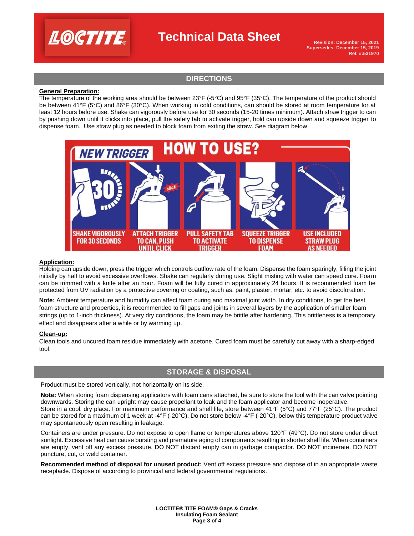

# **Technical Data Sheet**

**Revision: December 15, 2021 Supersedes: December 15, 2019 Ref. #:531970**

# **DIRECTIONS**

### **General Preparation:**

The temperature of the working area should be between 23°F (-5°C) and 95°F (35°C). The temperature of the product should be between 41°F (5°C) and 86°F (30°C). When working in cold conditions, can should be stored at room temperature for at least 12 hours before use. Shake can vigorously before use for 30 seconds (15-20 times minimum). Attach straw trigger to can by pushing down until it clicks into place, pull the safety tab to activate trigger, hold can upside down and squeeze trigger to dispense foam. Use straw plug as needed to block foam from exiting the straw. See diagram below.



#### **Application:**

Holding can upside down, press the trigger which controls outflow rate of the foam. Dispense the foam sparingly, filling the joint initially by half to avoid excessive overflows. Shake can regularly during use. Slight misting with water can speed cure. Foam can be trimmed with a knife after an hour. Foam will be fully cured in approximately 24 hours. It is recommended foam be protected from UV radiation by a protective covering or coating, such as, paint, plaster, mortar, etc. to avoid discoloration.

**Note:** Ambient temperature and humidity can affect foam curing and maximal joint width. In dry conditions, to get the best foam structure and properties, it is recommended to fill gaps and joints in several layers by the application of smaller foam strings (up to 1-inch thickness). At very dry conditions, the foam may be brittle after hardening. This brittleness is a temporary effect and disappears after a while or by warming up.

### **Clean-up:**

Clean tools and uncured foam residue immediately with acetone. Cured foam must be carefully cut away with a sharp-edged tool.

### **STORAGE & DISPOSAL**

Product must be stored vertically, not horizontally on its side.

**Note:** When storing foam dispensing applicators with foam cans attached, be sure to store the tool with the can valve pointing downwards. Storing the can upright may cause propellant to leak and the foam applicator and become inoperative. Store in a cool, dry place. For maximum performance and shelf life, store between 41°F (5°C) and 77°F (25°C). The product can be stored for a maximum of 1 week at -4°F (-20°C). Do not store below -4°F (-20°C), below this temperature product valve may spontaneously open resulting in leakage.

Containers are under pressure. Do not expose to open flame or temperatures above 120°F (49°C). Do not store under direct sunlight. Excessive heat can cause bursting and premature aging of components resulting in shorter shelf life. When containers are empty, vent off any excess pressure. DO NOT discard empty can in garbage compactor. DO NOT incinerate. DO NOT puncture, cut, or weld container.

**Recommended method of disposal for unused product:** Vent off excess pressure and dispose of in an appropriate waste receptacle. Dispose of according to provincial and federal governmental regulations.